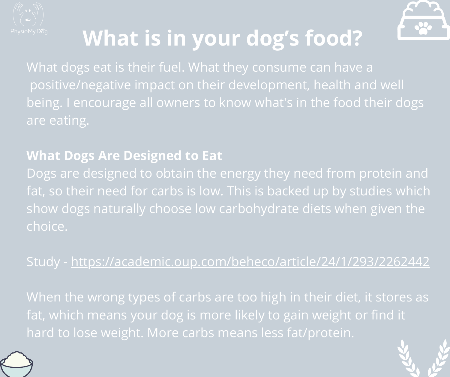



## **What is in your dog's food?**

What dogs eat is their fuel. What they consume can have a positive/negative impact on their development, health and well being. I encourage all owners to know what's in the food their dogs are eating.

### **What Dogs Are Designed to Eat**

Dogs are designed to obtain the energy they need from protein and fat, so their need for carbs is low. This is backed up by [studies](https://academic.oup.com/beheco/article/24/1/293/2262442) which show dogs naturally choose low carbohydrate diets when given the choice.

### Study - <https://academic.oup.com/beheco/article/24/1/293/2262442>

When the wrong types of carbs are too high in their diet, it stores as fat, which means your dog is more likely to gain weight or find it hard to lose weight. More carbs means less fat/protein.



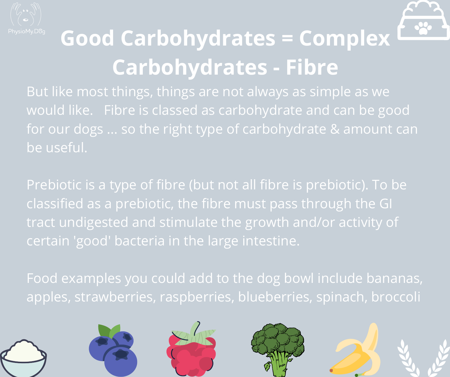



# **Good Carbohydrates = Complex Carbohydrates - Fibre**

But like most things, things are not always as simple as we would like. Fibre is classed as carbohydrate and can be good for our dogs ... so the right type of carbohydrate & amount can be useful.

Prebiotic is a type of fibre (but not all fibre is prebiotic). To be classified as a prebiotic, the fibre must pass through the GI tract undigested and stimulate the growth and/or activity of certain 'good' bacteria in the large intestine.

Food examples you could add to the dog bowl include bananas, apples, strawberries, raspberries, blueberries, spinach, broccoli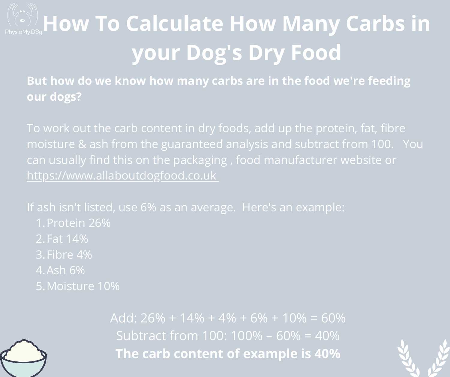# **How To Calculate How Many Carbs in your Dog's Dry Food**

**But how do we know how many carbs are in the food we're feeding our dogs?**

moisture & ash from the guaranteed analysis and subtract from 100. You can usually find this on the packaging , food manufacturer website or [https://www.allaboutdogfood.co.uk](https://www.allaboutdogfood.co.uk/)

If ash isn't listed, use 6% as an average. Here's an example:

- 
- 
- Fibre 4% 3.
- Ash 6% 4.
- Moisture 10% 5.



Add:  $26\% + 14\% + 4\% + 6\% + 10\% = 60\%$ Subtract from 100: 100% – 60% = 40% **The carb content of example is 40%**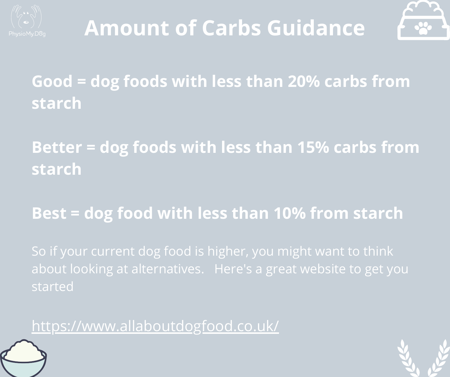



**Good = dog foods with less than 20% carbs from starch**

**Better = dog foods with less than 15% carbs from starch**

**Best = dog food with less than 10% from starch**

So if your current dog food is higher, you might want to think about looking at alternatives. Here's a great website to get you started

<https://www.allaboutdogfood.co.uk/>